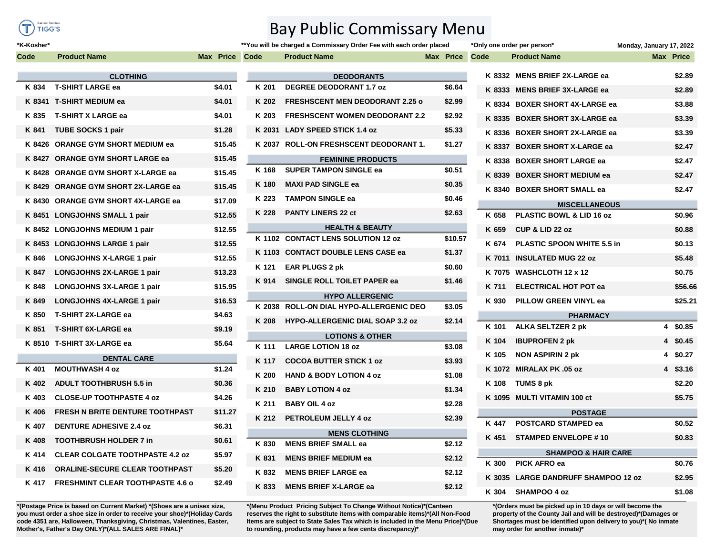

\*K-Kosher\*

 $\mathbf C$ 

## **Bay Public Commissary Menu**

 $***$ 

| ode    | <b>Product Name</b>                     | Max Price |
|--------|-----------------------------------------|-----------|
|        | <b>CLOTHING</b>                         |           |
| K 834  | <b>T-SHIRT LARGE ea</b>                 | \$4.01    |
|        | K 8341 T-SHIRT MEDIUM ea                | \$4.01    |
| K 835  | <b>T-SHIRT X LARGE ea</b>               | \$4.01    |
| K 841  | <b>TUBE SOCKS 1 pair</b>                | \$1.28    |
| K 8426 | <b>ORANGE GYM SHORT MEDIUM ea</b>       | \$15.45   |
| K 8427 | <b>ORANGE GYM SHORT LARGE ea</b>        | \$15.45   |
| K 8428 | <b>ORANGE GYM SHORT X-LARGE ea</b>      | \$15.45   |
| K 8429 | <b>ORANGE GYM SHORT 2X-LARGE ea</b>     | \$15.45   |
| K 8430 | <b>ORANGE GYM SHORT 4X-LARGE ea</b>     | \$17.09   |
| K 8451 | <b>LONGJOHNS SMALL 1 pair</b>           | \$12.55   |
| K 8452 | <b>LONGJOHNS MEDIUM 1 pair</b>          | \$12.55   |
| K 8453 | <b>LONGJOHNS LARGE 1 pair</b>           | \$12.55   |
| K 846  | <b>LONGJOHNS X-LARGE 1 pair</b>         | \$12.55   |
| K 847  | LONGJOHNS 2X-LARGE 1 pair               | \$13.23   |
| K 848  | <b>LONGJOHNS 3X-LARGE 1 pair</b>        | \$15.95   |
| K 849  | <b>LONGJOHNS 4X-LARGE 1 pair</b>        | \$16.53   |
| K 850  | <b>T-SHIRT 2X-LARGE ea</b>              | \$4.63    |
| K 851  | <b>T-SHIRT 6X-LARGE ea</b>              | \$9.19    |
| K 8510 | <b>T-SHIRT 3X-LARGE ea</b>              | \$5.64    |
|        | <b>DENTAL CARE</b>                      |           |
| K 401  | <b>MOUTHWASH 4 oz</b>                   | \$1.24    |
| K 402  | <b>ADULT TOOTHBRUSH 5.5 in</b>          | \$0.36    |
| K 403  | <b>CLOSE-UP TOOTHPASTE 4 oz</b>         | \$4.26    |
| K 406  | <b>FRESH N BRITE DENTURE TOOTHPAST</b>  | \$11.27   |
| K 407  | <b>DENTURE ADHESIVE 2.4 oz</b>          | \$6.31    |
| K 408  | <b>TOOTHBRUSH HOLDER 7 in</b>           | \$0.61    |
| K 414  | <b>CLEAR COLGATE TOOTHPASTE 4.2 oz</b>  | \$5.97    |
| K 416  | <b>ORALINE-SECURE CLEAR TOOTHPAST</b>   | \$5.20    |
| K 417  | <b>FRESHMINT CLEAR TOOTHPASTE 4.6 o</b> | \$2.49    |

\*(Postage Price is based on Current Market) \*(Shoes are a unisex size, you must order a shoe size in order to receive your shoe)\*(Holiday Cards code 4351 are, Halloween, Thanksgiving, Christmas, Valentines, Easter, Mother's, Father's Day ONLY)\*(ALL SALES ARE FINAL)\*

|                      |                          | **You will be charged a Commissary Order Fee with each order placed |           |  |  |  |  |
|----------------------|--------------------------|---------------------------------------------------------------------|-----------|--|--|--|--|
|                      | Code                     | <b>Product Name</b>                                                 | Max Price |  |  |  |  |
|                      |                          | <b>DEODORANTS</b>                                                   |           |  |  |  |  |
|                      | K 201                    | <b>DEGREE DEODORANT 1.7 oz</b>                                      | \$6.64    |  |  |  |  |
|                      | K 202                    | <b>FRESHSCENT MEN DEODORANT 2.25 o</b>                              | \$2.99    |  |  |  |  |
|                      | K 203                    | <b>FRESHSCENT WOMEN DEODORANT 2.2</b>                               | \$2.92    |  |  |  |  |
|                      | K 2031                   | <b>LADY SPEED STICK 1.4 oz</b>                                      | \$5.33    |  |  |  |  |
|                      |                          | K 2037 ROLL-ON FRESHSCENT DEODORANT 1.                              | \$1.27    |  |  |  |  |
|                      | <b>FEMININE PRODUCTS</b> |                                                                     |           |  |  |  |  |
|                      | K 168                    | <b>SUPER TAMPON SINGLE ea</b>                                       | \$0.51    |  |  |  |  |
|                      | K 180                    | <b>MAXI PAD SINGLE ea</b>                                           | \$0.35    |  |  |  |  |
|                      | K 223                    | <b>TAMPON SINGLE ea</b>                                             | \$0.46    |  |  |  |  |
|                      | K 228                    | <b>PANTY LINERS 22 ct</b>                                           | \$2.63    |  |  |  |  |
|                      |                          | <b>HEALTH &amp; BEAUTY</b>                                          |           |  |  |  |  |
|                      | K 1102                   | <b>CONTACT LENS SOLUTION 12 oz</b>                                  | \$10.57   |  |  |  |  |
|                      | K 1103                   | <b>CONTACT DOUBLE LENS CASE ea</b>                                  | \$1.37    |  |  |  |  |
|                      | K 121                    | <b>EAR PLUGS 2 pk</b>                                               | \$0.60    |  |  |  |  |
|                      | K 914                    | SINGLE ROLL TOILET PAPER ea                                         | \$1.46    |  |  |  |  |
|                      |                          | <b>HYPO ALLERGENIC</b>                                              |           |  |  |  |  |
|                      | K 2038                   | <b>ROLL-ON DIAL HYPO-ALLERGENIC DEO</b>                             | \$3.05    |  |  |  |  |
|                      | K 208                    | <b>HYPO-ALLERGENIC DIAL SOAP 3.2 oz</b>                             | \$2.14    |  |  |  |  |
|                      |                          | <b>LOTIONS &amp; OTHER</b>                                          |           |  |  |  |  |
|                      | K 111                    | <b>LARGE LOTION 18 oz</b>                                           | \$3.08    |  |  |  |  |
|                      | K 117                    | <b>COCOA BUTTER STICK 1 oz</b>                                      | \$3.93    |  |  |  |  |
|                      | K 200                    | <b>HAND &amp; BODY LOTION 4 oz</b>                                  | \$1.08    |  |  |  |  |
|                      | K 210                    | <b>BABY LOTION 4 oz</b>                                             | \$1.34    |  |  |  |  |
|                      | K 211                    | <b>BABY OIL 4 oz</b>                                                | \$2.28    |  |  |  |  |
|                      | K 212                    | <b>PETROLEUM JELLY 4 oz</b>                                         | \$2.39    |  |  |  |  |
| <b>MENS CLOTHING</b> |                          |                                                                     |           |  |  |  |  |
|                      | K 830                    | <b>MENS BRIEF SMALL ea</b>                                          | \$2.12    |  |  |  |  |
|                      | K 831                    | <b>MENS BRIEF MEDIUM ea</b>                                         | \$2.12    |  |  |  |  |
|                      | K 832                    | <b>MENS BRIEF LARGE ea</b>                                          | \$2.12    |  |  |  |  |
|                      | K 833                    | <b>MENS BRIEF X-LARGE ea</b>                                        | \$2.12    |  |  |  |  |

\*(Menu Product Pricing Subject To Change Without Notice)\*(Canteen reserves the right to substitute items with comparable items)\*(All Non-Food Items are subject to State Sales Tax which is included in the Menu Price)\*(Due to rounding, products may have a few cents discrepancy)\*

|                      |        | *Only one order per person*         | Monday, January 17, 2022 |                  |  |  |  |  |  |
|----------------------|--------|-------------------------------------|--------------------------|------------------|--|--|--|--|--|
|                      | Code   | <b>Example Product Name</b>         |                          | <b>Max Price</b> |  |  |  |  |  |
|                      |        | K 8332 MENS BRIEF 2X-LARGE ea       |                          | \$2.89           |  |  |  |  |  |
|                      |        | K 8333 MENS BRIEF 3X-LARGE ea       |                          | \$2.89           |  |  |  |  |  |
|                      |        | K 8334 BOXER SHORT 4X-LARGE ea      |                          | \$3.88           |  |  |  |  |  |
|                      |        | K 8335 BOXER SHORT 3X-LARGE ea      |                          | \$3.39           |  |  |  |  |  |
|                      |        | K 8336 BOXER SHORT 2X-LARGE ea      |                          | \$3.39           |  |  |  |  |  |
|                      |        | K 8337 BOXER SHORT X-LARGE ea       |                          | \$2.47           |  |  |  |  |  |
|                      |        | K 8338 BOXER SHORT LARGE ea         |                          | \$2.47           |  |  |  |  |  |
|                      |        | K 8339 BOXER SHORT MEDIUM ea        |                          |                  |  |  |  |  |  |
|                      |        | K 8340 BOXER SHORT SMALL ea         |                          | \$2.47           |  |  |  |  |  |
| <b>MISCELLANEOUS</b> |        |                                     |                          |                  |  |  |  |  |  |
|                      | K 658  | PLASTIC BOWL & LID 16 oz            |                          | \$0.96           |  |  |  |  |  |
|                      | K 659  | CUP & LID 22 oz                     |                          | \$0.88           |  |  |  |  |  |
|                      |        | K 674 PLASTIC SPOON WHITE 5.5 in    |                          | \$0.13           |  |  |  |  |  |
|                      | K 7011 | <b>INSULATED MUG 22 oz</b>          |                          | \$5.48           |  |  |  |  |  |
|                      |        | K 7075 WASHCLOTH 12 x 12            |                          | \$0.75           |  |  |  |  |  |
|                      | K 711  | <b>ELECTRICAL HOT POT ea</b>        |                          | \$56.66          |  |  |  |  |  |
|                      | K 930  | <b>PILLOW GREEN VINYL ea</b>        |                          | \$25.21          |  |  |  |  |  |
|                      |        | <b>PHARMACY</b>                     |                          |                  |  |  |  |  |  |
|                      | K 101  | <b>ALKA SELTZER 2 pk</b>            | 4                        | \$0.85           |  |  |  |  |  |
|                      | K 104  | <b>IBUPROFEN 2 pk</b>               | 4                        | \$0.45           |  |  |  |  |  |
|                      | K 105  | <b>NON ASPIRIN 2 pk</b>             | 4                        | \$0.27           |  |  |  |  |  |
|                      |        | K 1072 MIRALAX PK .05 oz            | 4                        | \$3.16           |  |  |  |  |  |
|                      | K 108  | TUMS 8 pk                           |                          | \$2.20           |  |  |  |  |  |
|                      |        | K 1095 MULTI VITAMIN 100 ct         |                          | \$5.75           |  |  |  |  |  |
| <b>POSTAGE</b>       |        |                                     |                          |                  |  |  |  |  |  |
|                      | K 447  | <b>POSTCARD STAMPED ea</b>          |                          | \$0.52           |  |  |  |  |  |
|                      | K 451  | <b>STAMPED ENVELOPE #10</b>         |                          | \$0.83           |  |  |  |  |  |
|                      |        | <b>SHAMPOO &amp; HAIR CARE</b>      |                          |                  |  |  |  |  |  |
|                      | K 300  | <b>PICK AFRO ea</b>                 |                          | \$0.76           |  |  |  |  |  |
|                      |        | K 3035 LARGE DANDRUFF SHAMPOO 12 oz |                          | \$2.95           |  |  |  |  |  |
|                      | K 304  | <b>SHAMPOO 4 oz</b>                 |                          | \$1.08           |  |  |  |  |  |
|                      |        |                                     |                          |                  |  |  |  |  |  |

\*(Orders must be picked up in 10 days or will become the property of the County Jail and will be destroyed)\*(Damages or Shortages must be identified upon delivery to you)\*(No inmate may order for another inmate)\*